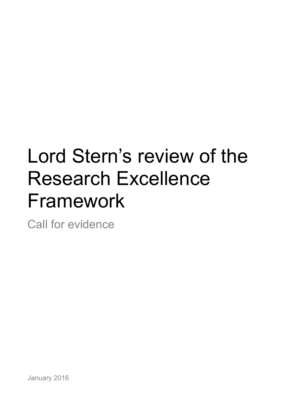# Lord Stern's review of the Research Excellence Framework

Call for evidence

January 2016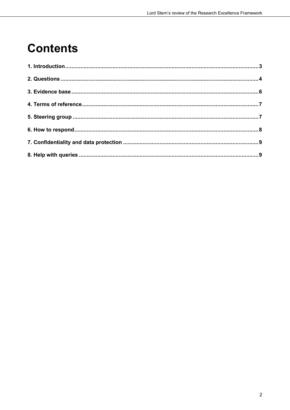## **Contents**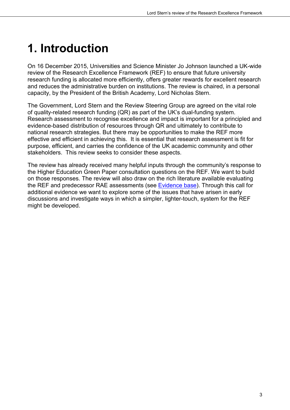# <span id="page-2-0"></span>**1. Introduction**

On 16 December 2015, Universities and Science Minister Jo Johnson launched a UK-wide review of the Research Excellence Framework (REF) to ensure that future university research funding is allocated more efficiently, offers greater rewards for excellent research and reduces the administrative burden on institutions. The review is chaired, in a personal capacity, by the President of the British Academy, Lord Nicholas Stern.

The Government, Lord Stern and the Review Steering Group are agreed on the vital role of quality-related research funding (QR) as part of the UK's dual-funding system. Research assessment to recognise excellence and impact is important for a principled and evidence-based distribution of resources through QR and ultimately to contribute to national research strategies. But there may be opportunities to make the REF more effective and efficient in achieving this. It is essential that research assessment is fit for purpose, efficient, and carries the confidence of the UK academic community and other stakeholders. This review seeks to consider these aspects.

The review has already received many helpful inputs through the community's response to the Higher Education Green Paper consultation questions on the REF. We want to build on those responses. The review will also draw on the rich literature available evaluating the REF and predecessor RAE assessments (see [Evidence base\)](#page-5-0). Through this call for additional evidence we want to explore some of the issues that have arisen in early discussions and investigate ways in which a simpler, lighter-touch, system for the REF might be developed.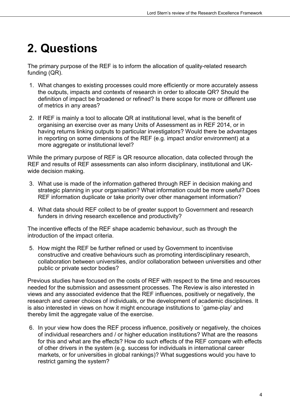## <span id="page-3-0"></span>**2. Questions**

The primary purpose of the REF is to inform the allocation of quality-related research funding (QR).

- 1. What changes to existing processes could more efficiently or more accurately assess the outputs, impacts and contexts of research in order to allocate QR? Should the definition of impact be broadened or refined? Is there scope for more or different use of metrics in any areas?
- 2. If REF is mainly a tool to allocate QR at institutional level, what is the benefit of organising an exercise over as many Units of Assessment as in REF 2014, or in having returns linking outputs to particular investigators? Would there be advantages in reporting on some dimensions of the REF (e.g. impact and/or environment) at a more aggregate or institutional level?

While the primary purpose of REF is QR resource allocation, data collected through the REF and results of REF assessments can also inform disciplinary, institutional and UKwide decision making.

- 3. What use is made of the information gathered through REF in decision making and strategic planning in your organisation? What information could be more useful? Does REF information duplicate or take priority over other management information?
- 4. What data should REF collect to be of greater support to Government and research funders in driving research excellence and productivity?

The incentive effects of the REF shape academic behaviour, such as through the introduction of the impact criteria.

5. How might the REF be further refined or used by Government to incentivise constructive and creative behaviours such as promoting interdisciplinary research, collaboration between universities, and/or collaboration between universities and other public or private sector bodies?

Previous studies have focused on the costs of REF with respect to the time and resources needed for the submission and assessment processes. The Review is also interested in views and any associated evidence that the REF influences, positively or negatively, the research and career choices of individuals, or the development of academic disciplines. It is also interested in views on how it might encourage institutions to `game-play' and thereby limit the aggregate value of the exercise.

6. In your view how does the REF process influence, positively or negatively, the choices of individual researchers and / or higher education institutions? What are the reasons for this and what are the effects? How do such effects of the REF compare with effects of other drivers in the system (e.g. success for individuals in international career markets, or for universities in global rankings)? What suggestions would you have to restrict gaming the system?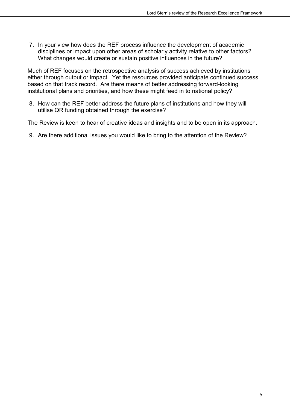7. In your view how does the REF process influence the development of academic disciplines or impact upon other areas of scholarly activity relative to other factors? What changes would create or sustain positive influences in the future?

Much of REF focuses on the retrospective analysis of success achieved by institutions either through output or impact. Yet the resources provided anticipate continued success based on that track record. Are there means of better addressing forward-looking institutional plans and priorities, and how these might feed in to national policy?

8. How can the REF better address the future plans of institutions and how they will utilise QR funding obtained through the exercise?

The Review is keen to hear of creative ideas and insights and to be open in its approach.

9. Are there additional issues you would like to bring to the attention of the Review?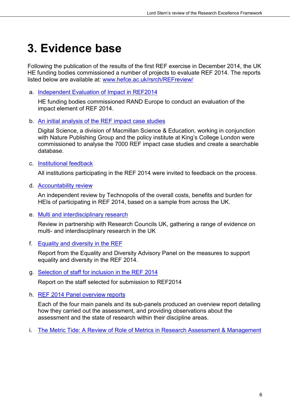#### <span id="page-5-0"></span>**3. Evidence base**

Following the publication of the results of the first REF exercise in December 2014, the UK HE funding bodies commissioned a number of projects to evaluate REF 2014. The reports listed below are available at: [www.hefce.ac.uk/rsrch/REFreview/](http://www.hefce.ac.uk/rsrch/REFreview/) 

a. [Independent Evaluation of Impact in REF2014](http://www.hefce.ac.uk/pubs/rereports/Year/2015/REFimpacteval/Title,103726,en.html)

HE funding bodies commissioned RAND Europe to conduct an evaluation of the impact element of REF 2014.

b. An initial analysis [of the REF impact case studies](http://www.hefce.ac.uk/pubs/rereports/Year/2015/analysisREFimpact/)

Digital Science, a division of Macmillan Science & Education, working in conjunction with Nature Publishing Group and the policy institute at King's College London were commissioned to analyse the 7000 REF impact case studies and create a searchable database.

c. [Institutional feedback](http://www.hefce.ac.uk/rsrch/REFreview/feedback/)

All institutions participating in the REF 2014 were invited to feedback on the process.

d. [Accountability review](http://www.hefce.ac.uk/pubs/rereports/Year/2015/refreviewcosts/Title,104406,en.html)

An independent review by Technopolis of the overall costs, benefits and burden for HEIs of participating in REF 2014, based on a sample from across the UK.

e. [Multi and interdisciplinary research](http://www.hefce.ac.uk/pubs/rereports/Year/2015/interdisc/Title,104883,en.html)

Review in partnership with Research Councils UK, gathering a range of evidence on multi- and interdisciplinary research in the UK

f. [Equality and diversity in the REF](http://www.ref.ac.uk/equality/edapreport/)

Report from the Equality and Diversity Advisory Panel on the measures to support equality and diversity in the REF 2014.

g. [Selection of staff for inclusion in the REF 2014](http://www.hefce.ac.uk/pubs/year/2015/201517/)

Report on the staff selected for submission to REF2014

h. [REF 2014 Panel overview reports](http://www.ref.ac.uk/panels/paneloverviewreports/)

Each of the four main panels and its sub-panels produced an overview report detailing how they carried out the assessment, and providing observations about the assessment and the state of research within their discipline areas.

i. [The Metric Tide: A Review of Role of Metrics in Research Assessment & Management](http://www.hefce.ac.uk/pubs/rereports/Year/2015/metrictide/Title,104463,en.html)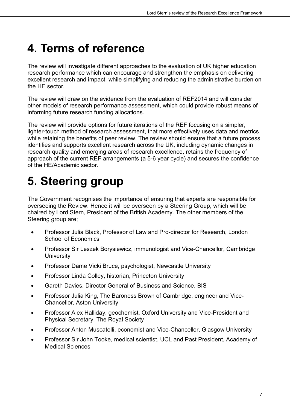#### <span id="page-6-0"></span>**4. Terms of reference**

The review will investigate different approaches to the evaluation of UK higher education research performance which can encourage and strengthen the emphasis on delivering excellent research and impact, while simplifying and reducing the administrative burden on the HE sector.

The review will draw on the evidence from the evaluation of REF2014 and will consider other models of research performance assessment, which could provide robust means of informing future research funding allocations.

The review will provide options for future iterations of the REF focusing on a simpler, lighter-touch method of research assessment, that more effectively uses data and metrics while retaining the benefits of peer review. The review should ensure that a future process identifies and supports excellent research across the UK, including dynamic changes in research quality and emerging areas of research excellence, retains the frequency of approach of the current REF arrangements (a 5-6 year cycle) and secures the confidence of the HE/Academic sector.

# <span id="page-6-1"></span>**5. Steering group**

The Government recognises the importance of ensuring that experts are responsible for overseeing the Review. Hence it will be overseen by a Steering Group, which will be chaired by Lord Stern, President of the British Academy. The other members of the Steering group are;

- Professor Julia Black, Professor of Law and Pro-director for Research, London School of Economics
- Professor Sir Leszek Borysiewicz, immunologist and Vice-Chancellor, Cambridge **University**
- Professor Dame Vicki Bruce, psychologist, Newcastle University
- Professor Linda Colley, historian, Princeton University
- Gareth Davies, Director General of Business and Science, BIS
- Professor Julia King, The Baroness Brown of Cambridge, engineer and Vice-Chancellor, Aston University
- Professor Alex Halliday, geochemist, Oxford University and Vice-President and Physical Secretary, The Royal Society
- Professor Anton Muscatelli, economist and Vice-Chancellor, Glasgow University
- Professor Sir John Tooke, medical scientist, UCL and Past President, Academy of Medical Sciences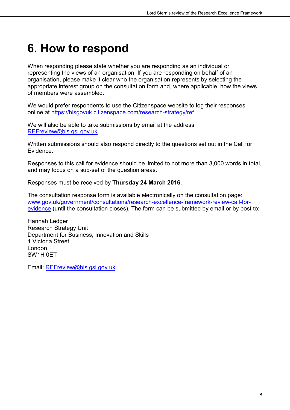#### <span id="page-7-0"></span>**6. How to respond**

When responding please state whether you are responding as an individual or representing the views of an organisation. If you are responding on behalf of an organisation, please make it clear who the organisation represents by selecting the appropriate interest group on the consultation form and, where applicable, how the views of members were assembled.

We would prefer respondents to use the Citizenspace website to log their responses online at [https://bisgovuk.citizenspace.com/research-strategy/ref.](https://bisgovuk.citizenspace.com/research-strategy/ref)

We will also be able to take submissions by email at the address [REFreview@bis.gsi.gov.uk.](mailto:REFreview@bis.gsi.gov.uk)

Written submissions should also respond directly to the questions set out in the Call for Evidence.

Responses to this call for evidence should be limited to not more than 3,000 words in total, and may focus on a sub-set of the question areas.

Responses must be received by **Thursday 24 March 2016**.

The consultation response form is available electronically on the consultation page: [www.gov.uk/government/consultations/research-excellence-framework-review-call-for](https://www.gov.uk/government/consultations/research-excellence-framework-review-call-for-evidence)[evidence](https://www.gov.uk/government/consultations/research-excellence-framework-review-call-for-evidence) (until the consultation closes). The form can be submitted by email or by post to:

Hannah Ledger Research Strategy Unit Department for Business, Innovation and Skills 1 Victoria Street London SW1H 0ET

Email: [REFreview@bis.gsi.gov.uk](mailto:REFreview@bis.gsi.gov.uk)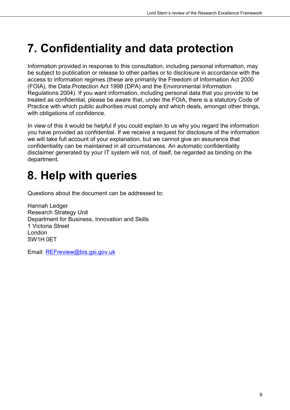#### <span id="page-8-0"></span>**7. Confidentiality and data protection**

Information provided in response to this consultation, including personal information, may be subject to publication or release to other parties or to disclosure in accordance with the access to information regimes (these are primarily the Freedom of Information Act 2000 (FOIA), the Data Protection Act 1998 (DPA) and the Environmental Information Regulations 2004). If you want information, including personal data that you provide to be treated as confidential, please be aware that, under the FOIA, there is a statutory Code of Practice with which public authorities must comply and which deals, amongst other things, with obligations of confidence.

In view of this it would be helpful if you could explain to us why you regard the information you have provided as confidential. If we receive a request for disclosure of the information we will take full account of your explanation, but we cannot give an assurance that confidentiality can be maintained in all circumstances. An automatic confidentiality disclaimer generated by your IT system will not, of itself, be regarded as binding on the department.

## <span id="page-8-1"></span>**8. Help with queries**

Questions about the document can be addressed to:

Hannah Ledger Research Strategy Unit Department for Business, Innovation and Skills 1 Victoria Street London SW1H 0ET

Email: [REFreview@bis.gsi.gov.uk](mailto:REFreview@bis.gsi.gov.uk)